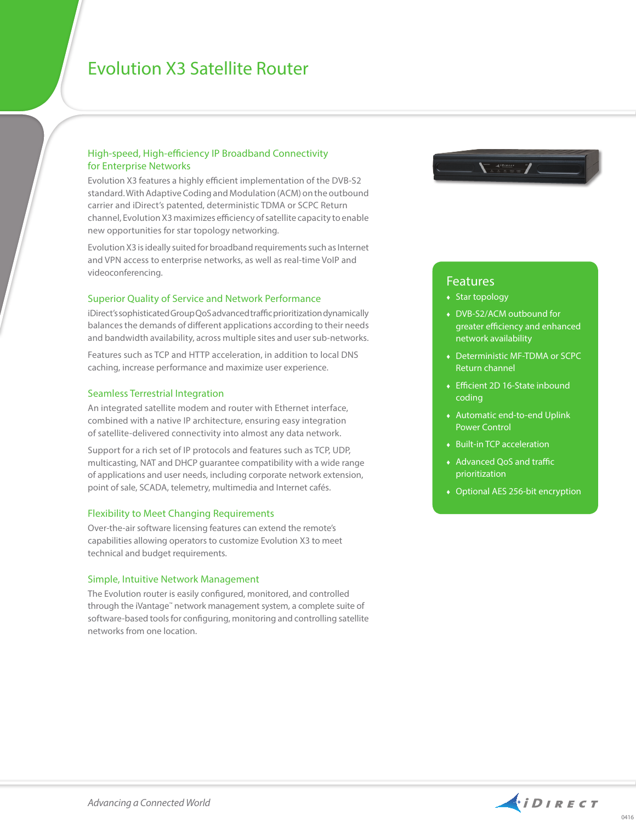# Evolution X3 Satellite Router

## High-speed, High-efficiency IP Broadband Connectivity for Enterprise Networks

Evolution X3 features a highly efficient implementation of the DVB-S2 standard. With Adaptive Coding and Modulation (ACM) on the outbound carrier and iDirect's patented, deterministic TDMA or SCPC Return channel, Evolution X3 maximizes efficiency of satellite capacity to enable new opportunities for star topology networking.

Evolution X3 is ideally suited for broadband requirements such as Internet and VPN access to enterprise networks, as well as real-time VoIP and videoconferencing.

### Superior Quality of Service and Network Performance

iDirect's sophisticated Group QoS advanced traffic prioritization dynamically balances the demands of different applications according to their needs and bandwidth availability, across multiple sites and user sub-networks.

Features such as TCP and HTTP acceleration, in addition to local DNS caching, increase performance and maximize user experience.

### Seamless Terrestrial Integration

An integrated satellite modem and router with Ethernet interface, combined with a native IP architecture, ensuring easy integration of satellite-delivered connectivity into almost any data network.

Support for a rich set of IP protocols and features such as TCP, UDP, multicasting, NAT and DHCP guarantee compatibility with a wide range of applications and user needs, including corporate network extension, point of sale, SCADA, telemetry, multimedia and Internet cafés.

## Flexibility to Meet Changing Requirements

Over-the-air software licensing features can extend the remote's capabilities allowing operators to customize Evolution X3 to meet technical and budget requirements.

#### Simple, Intuitive Network Management

The Evolution router is easily configured, monitored, and controlled through the iVantage™ network management system, a complete suite of software-based tools for configuring, monitoring and controlling satellite networks from one location.



# Features

- ♦ Star topology
- ♦ DVB-S2/ACM outbound for greater efficiency and enhanced network availability
- ♦ Deterministic MF-TDMA or SCPC Return channel
- ♦ Efficient 2D 16-State inbound coding
- ♦ Automatic end-to-end Uplink Power Control
- ♦ Built-in TCP acceleration
- ♦ Advanced QoS and traffic prioritization
- ♦ Optional AES 256-bit encryption